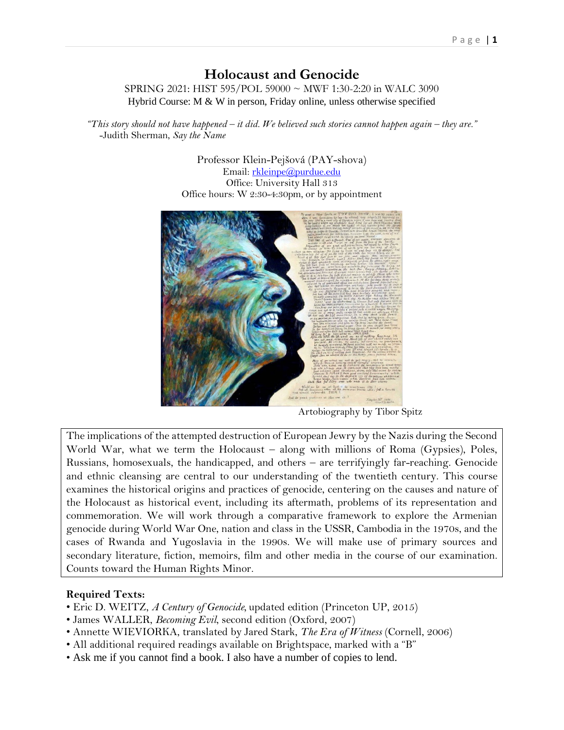# **Holocaust and Genocide**

SPRING 2021: HIST 595/POL 59000 ~ MWF 1:30-2:20 in WALC 3090 Hybrid Course: M & W in person, Friday online, unless otherwise specified

*"This story should not have happened – it did. We believed such stories cannot happen again – they are."* -Judith Sherman, *Say the Name*

> Professor Klein-Pejšová (PAY-shova) Email: [rkleinpe@purdue.edu](mailto:rkleinpe@purdue.edu) Office: University Hall 313 Office hours: W 2:30-4:30pm, or by appointment



Artobiography by Tibor Spitz

The implications of the attempted destruction of European Jewry by the Nazis during the Second World War, what we term the Holocaust – along with millions of Roma (Gypsies), Poles, Russians, homosexuals, the handicapped, and others – are terrifyingly far-reaching. Genocide and ethnic cleansing are central to our understanding of the twentieth century. This course examines the historical origins and practices of genocide, centering on the causes and nature of the Holocaust as historical event, including its aftermath, problems of its representation and commemoration. We will work through a comparative framework to explore the Armenian genocide during World War One, nation and class in the USSR, Cambodia in the 1970s, and the cases of Rwanda and Yugoslavia in the 1990s. We will make use of primary sources and secondary literature, fiction, memoirs, film and other media in the course of our examination. Counts toward the Human Rights Minor.

## **Required Texts:**

- Eric D. WEITZ, *A Century of Genocide,* updated edition (Princeton UP, 2015)
- James WALLER, *Becoming Evil*, second edition (Oxford, 2007)
- Annette WIEVIORKA, translated by Jared Stark, *The Era of Witness* (Cornell, 2006)
- All additional required readings available on Brightspace, marked with a "B"
- Ask me if you cannot find a book. I also have a number of copies to lend.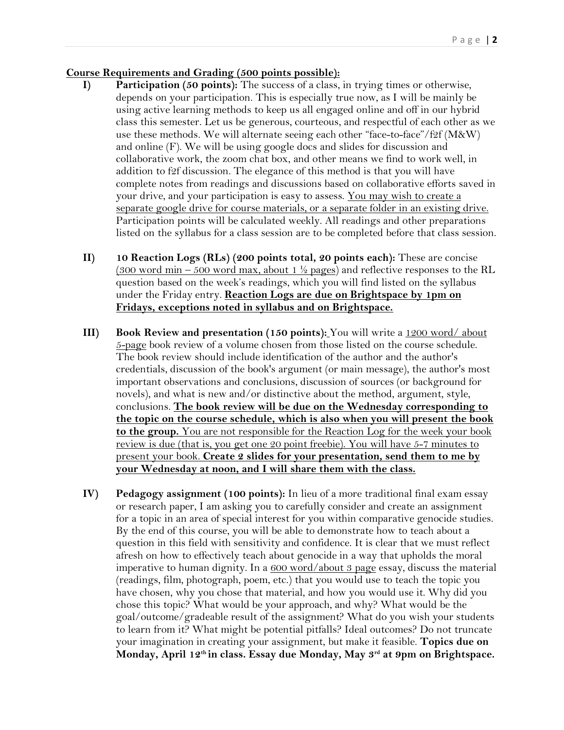## **Course Requirements and Grading (500 points possible):**

- **I) Participation (50 points):** The success of a class, in trying times or otherwise, depends on your participation. This is especially true now, as I will be mainly be using active learning methods to keep us all engaged online and off in our hybrid class this semester. Let us be generous, courteous, and respectful of each other as we use these methods. We will alternate seeing each other "face-to-face"/f2f (M&W) and online (F). We will be using google docs and slides for discussion and collaborative work, the zoom chat box, and other means we find to work well, in addition to f2f discussion. The elegance of this method is that you will have complete notes from readings and discussions based on collaborative efforts saved in your drive, and your participation is easy to assess. You may wish to create a separate google drive for course materials, or a separate folder in an existing drive. Participation points will be calculated weekly. All readings and other preparations listed on the syllabus for a class session are to be completed before that class session.
- **II) 10 Reaction Logs (RLs) (200 points total, 20 points each):** These are concise (300 word min – 500 word max, about 1  $\frac{1}{2}$  pages) and reflective responses to the RL question based on the week's readings, which you will find listed on the syllabus under the Friday entry. **Reaction Logs are due on Brightspace by 1pm on Fridays, exceptions noted in syllabus and on Brightspace.**
- **III) Book Review and presentation (150 points):** You will write a 1200 word/about 5-page book review of a volume chosen from those listed on the course schedule. The book review should include identification of the author and the author's credentials, discussion of the book's argument (or main message), the author's most important observations and conclusions, discussion of sources (or background for novels), and what is new and/or distinctive about the method, argument, style, conclusions. **The book review will be due on the Wednesday corresponding to the topic on the course schedule, which is also when you will present the book to the group.** You are not responsible for the Reaction Log for the week your book review is due (that is, you get one 20 point freebie). You will have 5-7 minutes to present your book. **Create 2 slides for your presentation, send them to me by your Wednesday at noon, and I will share them with the class.**
- **IV) Pedagogy assignment (100 points):** In lieu of a more traditional final exam essay or research paper, I am asking you to carefully consider and create an assignment for a topic in an area of special interest for you within comparative genocide studies. By the end of this course, you will be able to demonstrate how to teach about a question in this field with sensitivity and confidence. It is clear that we must reflect afresh on how to effectively teach about genocide in a way that upholds the moral imperative to human dignity. In a  $600$  word/about 3 page essay, discuss the material (readings, film, photograph, poem, etc.) that you would use to teach the topic you have chosen, why you chose that material, and how you would use it. Why did you chose this topic? What would be your approach, and why? What would be the goal/outcome/gradeable result of the assignment? What do you wish your students to learn from it? What might be potential pitfalls? Ideal outcomes? Do not truncate your imagination in creating your assignment, but make it feasible. **Topics due on Monday, April 12th in class. Essay due Monday, May 3rd at 9pm on Brightspace.**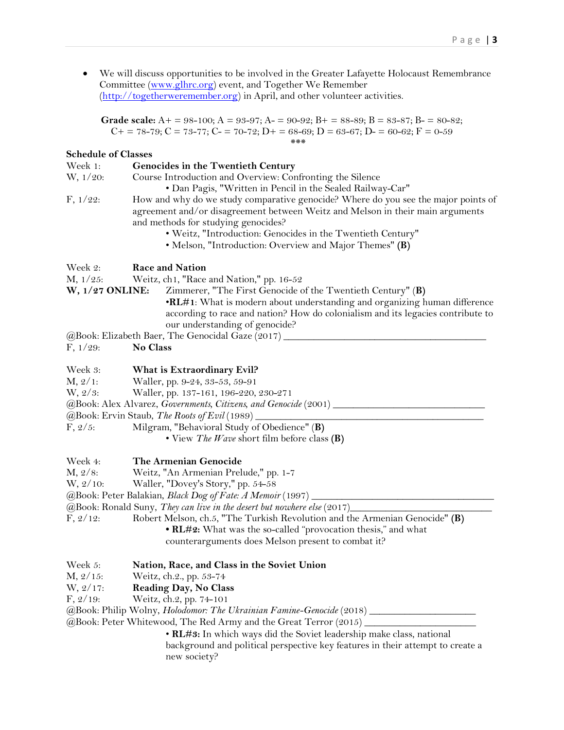• We will discuss opportunities to be involved in the Greater Lafayette Holocaust Remembrance Committee [\(www.glhrc.org\)](http://www.glhrc.org/) event, and Together We Remember [\(http://togetherweremember.org\)](http://togetherweremember.org/) in April, and other volunteer activities.

| Grade scale: A+ = 98-100; A = 93-97; A- = 90-92; B+ = 88-89; B = 83-87; B- = 80-82;                            |
|----------------------------------------------------------------------------------------------------------------|
| $C_{+} = 78-79$ ; $C = 73-77$ ; $C_{-} = 70-72$ ; $D_{+} = 68-69$ ; $D = 63-67$ ; $D_{-} = 60-62$ ; $F = 0-59$ |
| ***                                                                                                            |

#### **Schedule of Classes**

| Week 1:              | <b>Genocides in the Twentieth Century</b>                                                                                                                                                                                                                             |  |  |
|----------------------|-----------------------------------------------------------------------------------------------------------------------------------------------------------------------------------------------------------------------------------------------------------------------|--|--|
| W, 1/20:             | Course Introduction and Overview: Confronting the Silence                                                                                                                                                                                                             |  |  |
|                      | • Dan Pagis, "Written in Pencil in the Sealed Railway-Car"                                                                                                                                                                                                            |  |  |
| $F, 1/22$ :          | How and why do we study comparative genocide? Where do you see the major points of<br>agreement and/or disagreement between Weitz and Melson in their main arguments<br>and methods for studying genocides?                                                           |  |  |
|                      | . Weitz, "Introduction: Genocides in the Twentieth Century"                                                                                                                                                                                                           |  |  |
|                      | • Melson, "Introduction: Overview and Major Themes" (B)                                                                                                                                                                                                               |  |  |
| Week 2:              | <b>Race and Nation</b>                                                                                                                                                                                                                                                |  |  |
| $M, 1/25$ :          | Weitz, ch1, "Race and Nation," pp. 16-52                                                                                                                                                                                                                              |  |  |
| $W$ , $1/27$ ONLINE: | Zimmerer, "The First Genocide of the Twentieth Century" (B)<br><b>.RL#1</b> : What is modern about understanding and organizing human difference<br>according to race and nation? How do colonialism and its legacies contribute to<br>our understanding of genocide? |  |  |
|                      | @Book: Elizabeth Baer, The Genocidal Gaze (2017) ________________________________                                                                                                                                                                                     |  |  |
| $F, 1/29$ :          | No Class                                                                                                                                                                                                                                                              |  |  |
| Week 3:              | What is Extraordinary Evil?                                                                                                                                                                                                                                           |  |  |
| $M$ , $2/1$ :        | Waller, pp. 9-24, 33-53, 59-91                                                                                                                                                                                                                                        |  |  |
| $W, 2/3$ :           | Waller, pp. 137-161, 196-220, 230-271                                                                                                                                                                                                                                 |  |  |
|                      | @Book: Alex Alvarez, Governments, Citizens, and Genocide (2001) _______                                                                                                                                                                                               |  |  |
|                      | @Book: Ervin Staub, The Roots of Evil (1989)                                                                                                                                                                                                                          |  |  |
| F, 2/5:              | Milgram, "Behavioral Study of Obedience" (B)<br>• View The Wave short film before class $(B)$                                                                                                                                                                         |  |  |
|                      |                                                                                                                                                                                                                                                                       |  |  |
| Week 4:              | The Armenian Genocide                                                                                                                                                                                                                                                 |  |  |
| M, 2/8:              | Weitz, "An Armenian Prelude," pp. 1-7                                                                                                                                                                                                                                 |  |  |
| $W, 2/10$ :          | Waller, "Dovey's Story," pp. 54-58                                                                                                                                                                                                                                    |  |  |
|                      | @Book: Peter Balakian, Black Dog of Fate: A Memoir (1997) _                                                                                                                                                                                                           |  |  |
|                      | @Book: Ronald Suny, They can live in the desert but nowhere else (2017)_                                                                                                                                                                                              |  |  |
| $F, 2/12$ :          | Robert Melson, ch.5, "The Turkish Revolution and the Armenian Genocide" (B)                                                                                                                                                                                           |  |  |
|                      | • RL#2: What was the so-called "provocation thesis," and what                                                                                                                                                                                                         |  |  |
|                      | counterarguments does Melson present to combat it?                                                                                                                                                                                                                    |  |  |
| Week 5:              | Nation, Race, and Class in the Soviet Union                                                                                                                                                                                                                           |  |  |
| $M$ , $2/15$ :       | Weitz, ch.2., pp. 53-74                                                                                                                                                                                                                                               |  |  |
| W, $2/17$ :          | <b>Reading Day, No Class</b>                                                                                                                                                                                                                                          |  |  |
| $F, 2/19$ :          | Weitz, ch.2, pp. 74-101                                                                                                                                                                                                                                               |  |  |
|                      | @Book: Philip Wolny, Holodomor: The Ukrainian Famine-Genocide (2018) ________                                                                                                                                                                                         |  |  |
|                      | @Book: Peter Whitewood, The Red Army and the Great Terror (2015) _______                                                                                                                                                                                              |  |  |
|                      | • RL#3: In which ways did the Soviet leadership make class, national                                                                                                                                                                                                  |  |  |
|                      | background and political perspective key features in their attempt to create a                                                                                                                                                                                        |  |  |
|                      | new society?                                                                                                                                                                                                                                                          |  |  |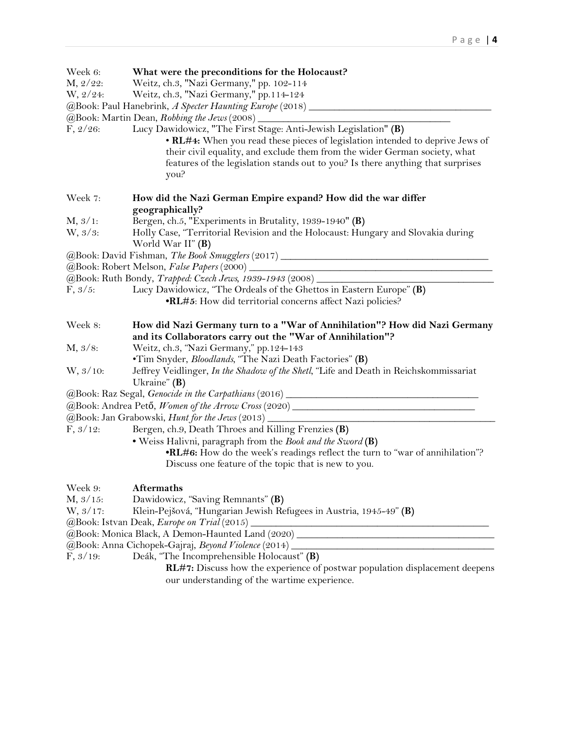| Week 6:<br>$M$ , $2/22$ :<br>W, 2/24:<br>F, 2/26 | What were the preconditions for the Holocaust?<br>Weitz, ch.3, "Nazi Germany," pp. 102-114<br>Weitz, ch.3, "Nazi Germany," pp.114-124<br>@Book: Paul Hanebrink, A Specter Haunting Europe (2018) ________________________<br>Lucy Dawidowicz, "The First Stage: Anti-Jewish Legislation" (B)<br>• RL#4: When you read these pieces of legislation intended to deprive Jews of<br>their civil equality, and exclude them from the wider German society, what<br>features of the legislation stands out to you? Is there anything that surprises<br>you? |
|--------------------------------------------------|--------------------------------------------------------------------------------------------------------------------------------------------------------------------------------------------------------------------------------------------------------------------------------------------------------------------------------------------------------------------------------------------------------------------------------------------------------------------------------------------------------------------------------------------------------|
| Week 7:                                          | How did the Nazi German Empire expand? How did the war differ<br>geographically?                                                                                                                                                                                                                                                                                                                                                                                                                                                                       |
| M, 3/1:                                          | Bergen, ch.5, "Experiments in Brutality, 1939-1940" (B)                                                                                                                                                                                                                                                                                                                                                                                                                                                                                                |
| W, 3/3:                                          | Holly Case, "Territorial Revision and the Holocaust: Hungary and Slovakia during<br>World War II" $(B)$                                                                                                                                                                                                                                                                                                                                                                                                                                                |
|                                                  | (a)Book: David Fishman, The Book Smugglers (2017) _______________________________                                                                                                                                                                                                                                                                                                                                                                                                                                                                      |
|                                                  |                                                                                                                                                                                                                                                                                                                                                                                                                                                                                                                                                        |
|                                                  | @Book: Ruth Bondy, Trapped: Czech Jews, 1939-1943 (2008) ________________                                                                                                                                                                                                                                                                                                                                                                                                                                                                              |
| F, 3/5:                                          | Lucy Dawidowicz, "The Ordeals of the Ghettos in Eastern Europe" (B)<br><b>.RL#5:</b> How did territorial concerns affect Nazi policies?                                                                                                                                                                                                                                                                                                                                                                                                                |
|                                                  |                                                                                                                                                                                                                                                                                                                                                                                                                                                                                                                                                        |
| Week 8:                                          | How did Nazi Germany turn to a "War of Annihilation"? How did Nazi Germany<br>and its Collaborators carry out the "War of Annihilation"?                                                                                                                                                                                                                                                                                                                                                                                                               |
| M, 3/8:                                          | Weitz, ch.3, "Nazi Germany," pp.124-143                                                                                                                                                                                                                                                                                                                                                                                                                                                                                                                |
|                                                  | •Tim Snyder, <i>Bloodlands</i> , "The Nazi Death Factories" (B)                                                                                                                                                                                                                                                                                                                                                                                                                                                                                        |
| $W, 3/10$ :                                      | Jeffrey Veidlinger, In the Shadow of the Shetl, "Life and Death in Reichskommissariat<br>Ukraine" $(B)$                                                                                                                                                                                                                                                                                                                                                                                                                                                |
|                                                  |                                                                                                                                                                                                                                                                                                                                                                                                                                                                                                                                                        |
|                                                  | @Book: Andrea Pető, Women of the Arrow Cross (2020) _____________________________                                                                                                                                                                                                                                                                                                                                                                                                                                                                      |
|                                                  | (a)Book: Jan Grabowski, Hunt for the Jews (2013)                                                                                                                                                                                                                                                                                                                                                                                                                                                                                                       |
| $F, 3/12$ :                                      | Bergen, ch.9, Death Throes and Killing Frenzies (B)                                                                                                                                                                                                                                                                                                                                                                                                                                                                                                    |
|                                                  | . Weiss Halivni, paragraph from the Book and the Sword (B)                                                                                                                                                                                                                                                                                                                                                                                                                                                                                             |
|                                                  | •RL#6: How do the week's readings reflect the turn to "war of annihilation"?                                                                                                                                                                                                                                                                                                                                                                                                                                                                           |
|                                                  | Discuss one feature of the topic that is new to you.                                                                                                                                                                                                                                                                                                                                                                                                                                                                                                   |
|                                                  |                                                                                                                                                                                                                                                                                                                                                                                                                                                                                                                                                        |
| Week 9:                                          | <b>Aftermaths</b>                                                                                                                                                                                                                                                                                                                                                                                                                                                                                                                                      |
| $M, 3/15$ :<br>W, 3/17:                          | Dawidowicz, "Saving Remnants" (B)                                                                                                                                                                                                                                                                                                                                                                                                                                                                                                                      |
|                                                  | Klein-Pejšová, "Hungarian Jewish Refugees in Austria, 1945-49" (B)                                                                                                                                                                                                                                                                                                                                                                                                                                                                                     |
|                                                  | @Book: Istvan Deak, Europe on Trial (2015)<br><u> 1989 - Johann Barn, fransk politik amerikansk politik (d. 1989)</u>                                                                                                                                                                                                                                                                                                                                                                                                                                  |
|                                                  | (a)Book: Anna Cichopek-Gajraj, Beyond Violence (2014)                                                                                                                                                                                                                                                                                                                                                                                                                                                                                                  |
| $F, 3/19$ :                                      | Deák, "The Incomprehensible Holocaust" (B)<br><b>RL#7:</b> Discuss how the experience of postwar population displacement deepens                                                                                                                                                                                                                                                                                                                                                                                                                       |

**RL#7:** Discuss how the experience of postwar population displacement deepens our understanding of the wartime experience.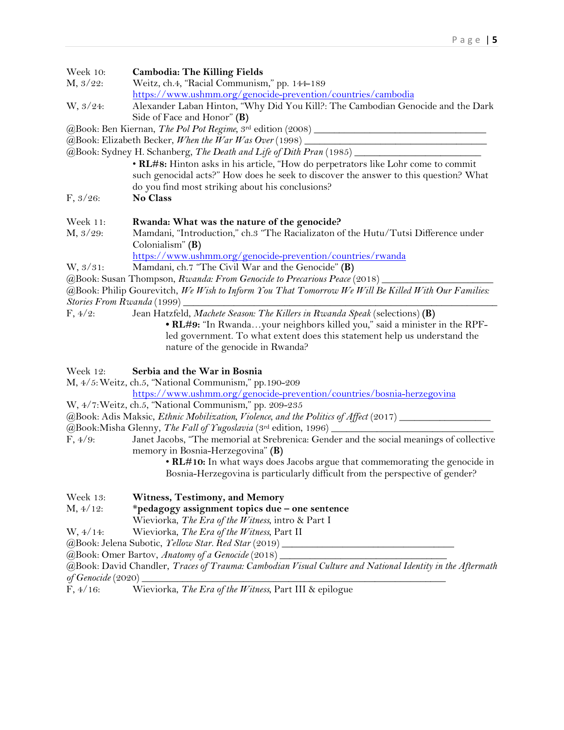| Week 10:                                                                                           | <b>Cambodia: The Killing Fields</b>                                                                                                                                       |  |  |
|----------------------------------------------------------------------------------------------------|---------------------------------------------------------------------------------------------------------------------------------------------------------------------------|--|--|
| $M, 3/22$ :                                                                                        | Weitz, ch.4, "Racial Communism," pp. 144-189                                                                                                                              |  |  |
|                                                                                                    | https://www.ushmm.org/genocide-prevention/countries/cambodia                                                                                                              |  |  |
| $W, 3/24$ :                                                                                        | Alexander Laban Hinton, "Why Did You Kill?: The Cambodian Genocide and the Dark                                                                                           |  |  |
|                                                                                                    | Side of Face and Honor" (B)                                                                                                                                               |  |  |
| @Book: Ben Kiernan, The Pol Pot Regime, 3rd edition (2008) ____________                            |                                                                                                                                                                           |  |  |
|                                                                                                    | @Book: Elizabeth Becker, When the War Was Over (1998) _______                                                                                                             |  |  |
|                                                                                                    |                                                                                                                                                                           |  |  |
|                                                                                                    | • RL#8: Hinton asks in his article, "How do perpetrators like Lohr come to commit<br>such genocidal acts?" How does he seek to discover the answer to this question? What |  |  |
| F, 3/26                                                                                            | do you find most striking about his conclusions?<br>No Class                                                                                                              |  |  |
|                                                                                                    |                                                                                                                                                                           |  |  |
| Week 11:                                                                                           | Rwanda: What was the nature of the genocide?                                                                                                                              |  |  |
| $M, 3/29$ :                                                                                        | Mamdani, "Introduction," ch.3 "The Racializaton of the Hutu/Tutsi Difference under                                                                                        |  |  |
|                                                                                                    | Colonialism" $(B)$                                                                                                                                                        |  |  |
|                                                                                                    | https://www.ushmm.org/genocide-prevention/countries/rwanda                                                                                                                |  |  |
| W, 3/31:                                                                                           | Mamdani, ch.7 "The Civil War and the Genocide" (B)                                                                                                                        |  |  |
| (a)Book: Susan Thompson, Rwanda: From Genocide to Precarious Peace (2018) _____                    |                                                                                                                                                                           |  |  |
| @Book: Philip Gourevitch, We Wish to Inform You That Tomorrow We Will Be Killed With Our Families: |                                                                                                                                                                           |  |  |
| Stories From Rwanda (1999) _                                                                       |                                                                                                                                                                           |  |  |
| F, 4/2:                                                                                            | Jean Hatzfeld, Machete Season: The Killers in Rwanda Speak (selections) (B)                                                                                               |  |  |

**• RL#9:** "In Rwanda…your neighbors killed you," said a minister in the RPFled government. To what extent does this statement help us understand the nature of the genocide in Rwanda?

#### Week 12: **Serbia and the War in Bosnia**

M, 4/5:Weitz, ch.5, "National Communism," pp.190-209

<https://www.ushmm.org/genocide-prevention/countries/bosnia-herzegovina>

- W, 4/7:Weitz, ch.5, "National Communism," pp. 209-235
- @Book: Adis Maksic, *Ethnic Mobilization, Violence, and the Politics of Affect* (2017) \_\_\_\_\_\_\_\_\_\_\_\_\_\_\_\_\_\_
- @Book:Misha Glenny, The Fall of Yugoslavia (3rd edition, 1996)
- F, 4/9: Janet Jacobs, "The memorial at Srebrenica: Gender and the social meanings of collective memory in Bosnia-Herzegovina" **(B)**

• **RL#10:** In what ways does Jacobs argue that commemorating the genocide in Bosnia-Herzegovina is particularly difficult from the perspective of gender?

- Week 13: **Witness, Testimony, and Memory**
- M, 4/12: \***pedagogy assignment topics due – one sentence**

Wieviorka, *The Era of the Witness*, intro & Part I

- W, 4/14: Wieviorka, *The Era of the Witness*, Part II
- @Book: Jelena Subotic, *Yellow Star. Red Star* (2019) \_\_\_\_\_\_\_\_\_\_\_\_\_\_\_\_\_\_\_\_\_\_\_\_\_\_\_\_\_\_\_\_\_\_

@Book: Omer Bartov, *Anatomy of a Genocide* (2018) \_\_\_\_\_\_\_\_\_\_\_\_\_\_\_\_\_\_\_\_\_\_\_\_\_\_\_\_\_\_\_\_\_

@Book: David Chandler, *Traces of Trauma: Cambodian Visual Culture and National Identity in the Aftermath of Genocide* (2020) \_\_\_\_\_\_\_\_\_\_\_\_\_\_\_\_\_\_\_\_\_\_\_\_\_\_\_\_\_\_\_\_\_\_\_\_\_\_\_\_\_\_\_\_\_\_\_\_\_\_\_\_\_\_\_\_\_\_\_\_

F, 4/16: Wieviorka, *The Era of the Witness*, Part III & epilogue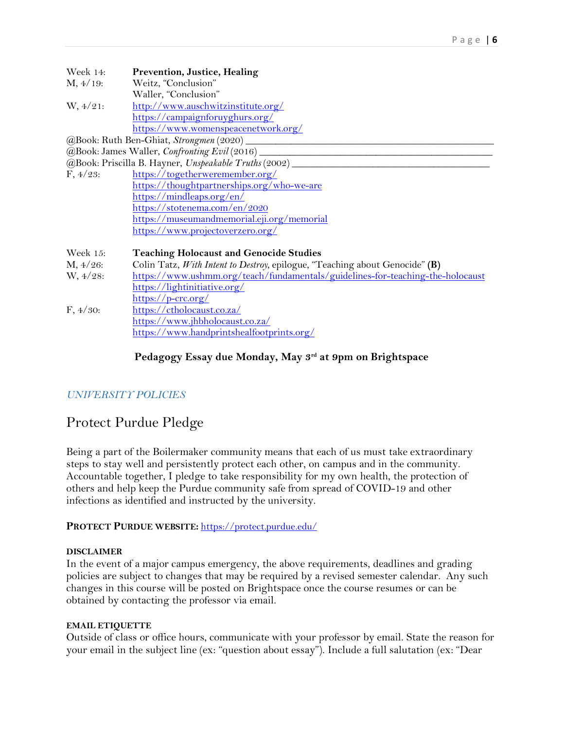| Week 14:    | <b>Prevention, Justice, Healing</b>                                            |
|-------------|--------------------------------------------------------------------------------|
| $M, 4/19$ : | Weitz, "Conclusion"                                                            |
|             | Waller, "Conclusion"                                                           |
| W, 4/21:    | http://www.auschwitzinstitute.org/                                             |
|             | https://campaignforuyghurs.org/                                                |
|             | https://www.womenspeacenetwork.org/                                            |
|             |                                                                                |
|             | @Book: James Waller, Confronting Evil (2016) ____                              |
|             | @Book: Priscilla B. Hayner, Unspeakable Truths (2002) __                       |
| F, 4/23:    | https://togetherweremember.org/                                                |
|             | https://thoughtpartnerships.org/who-we-are                                     |
|             | https://mindleaps.org/en/                                                      |
|             | <u> https://stotenema.com/en/2020</u>                                          |
|             | https://museumandmemorial.eji.org/memorial                                     |
|             | https://www.projectoverzero.org/                                               |
|             |                                                                                |
| Week $15$ : | <b>Teaching Holocaust and Genocide Studies</b>                                 |
| $M, 4/26$ : | Colin Tatz, With Intent to Destroy, epilogue, "Teaching about Genocide" (B)    |
| W, 4/28:    | https://www.ushmm.org/teach/fundamentals/guidelines-for-teaching-the-holocaust |
|             | https://lightinitiative.org/                                                   |
|             | $\frac{\text{https://p-crc.org/}}{}$                                           |
| F, 4/30:    | https://ctholocaust.co.za/                                                     |
|             | https://www.jhbholocaust.co.za/                                                |
|             | https://www.handprintshealfootprints.org/                                      |
|             |                                                                                |

## **Pedagogy Essay due Monday, May 3rd at 9pm on Brightspace**

# *UNIVERSITY POLICIES*

# Protect Purdue Pledge

Being a part of the Boilermaker community means that each of us must take extraordinary steps to stay well and persistently protect each other, on campus and in the community. Accountable together, I pledge to take responsibility for my own health, the protection of others and help keep the Purdue community safe from spread of COVID-19 and other infections as identified and instructed by the university.

### **PROTECT PURDUE WEBSITE:** <https://protect.purdue.edu/>

#### **DISCLAIMER**

In the event of a major campus emergency, the above requirements, deadlines and grading policies are subject to changes that may be required by a revised semester calendar. Any such changes in this course will be posted on Brightspace once the course resumes or can be obtained by contacting the professor via email.

### **EMAIL ETIQUETTE**

Outside of class or office hours, communicate with your professor by email. State the reason for your email in the subject line (ex: "question about essay"). Include a full salutation (ex: "Dear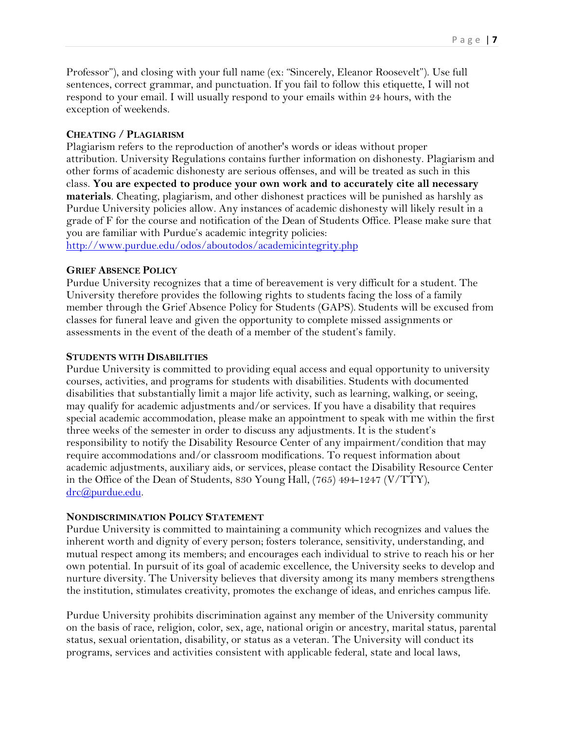Professor"), and closing with your full name (ex: "Sincerely, Eleanor Roosevelt"). Use full sentences, correct grammar, and punctuation. If you fail to follow this etiquette, I will not respond to your email. I will usually respond to your emails within 24 hours, with the exception of weekends.

## **CHEATING / PLAGIARISM**

Plagiarism refers to the reproduction of another's words or ideas without proper attribution. University Regulations contains further information on dishonesty. Plagiarism and other forms of academic dishonesty are serious offenses, and will be treated as such in this class. **You are expected to produce your own work and to accurately cite all necessary materials**. Cheating, plagiarism, and other dishonest practices will be punished as harshly as Purdue University policies allow. Any instances of academic dishonesty will likely result in a grade of F for the course and notification of the Dean of Students Office. Please make sure that you are familiar with Purdue's academic integrity policies:

<http://www.purdue.edu/odos/aboutodos/academicintegrity.php>

## **GRIEF ABSENCE POLICY**

Purdue University recognizes that a time of bereavement is very difficult for a student. The University therefore provides the following rights to students facing the loss of a family member through the Grief Absence Policy for Students (GAPS). Students will be excused from classes for funeral leave and given the opportunity to complete missed assignments or assessments in the event of the death of a member of the student's family.

## **STUDENTS WITH DISABILITIES**

Purdue University is committed to providing equal access and equal opportunity to university courses, activities, and programs for students with disabilities. Students with documented disabilities that substantially limit a major life activity, such as learning, walking, or seeing, may qualify for academic adjustments and/or services. If you have a disability that requires special academic accommodation, please make an appointment to speak with me within the first three weeks of the semester in order to discuss any adjustments. It is the student's responsibility to notify the Disability Resource Center of any impairment/condition that may require accommodations and/or classroom modifications. To request information about academic adjustments, auxiliary aids, or services, please contact the Disability Resource Center in the Office of the Dean of Students, 830 Young Hall, (765) 494-1247 (V/TTY), [drc@purdue.edu.](mailto:drc@purdue.edu)

## **NONDISCRIMINATION POLICY STATEMENT**

Purdue University is committed to maintaining a community which recognizes and values the inherent worth and dignity of every person; fosters tolerance, sensitivity, understanding, and mutual respect among its members; and encourages each individual to strive to reach his or her own potential. In pursuit of its goal of academic excellence, the University seeks to develop and nurture diversity. The University believes that diversity among its many members strengthens the institution, stimulates creativity, promotes the exchange of ideas, and enriches campus life.

Purdue University prohibits discrimination against any member of the University community on the basis of race, religion, color, sex, age, national origin or ancestry, marital status, parental status, sexual orientation, disability, or status as a veteran. The University will conduct its programs, services and activities consistent with applicable federal, state and local laws,